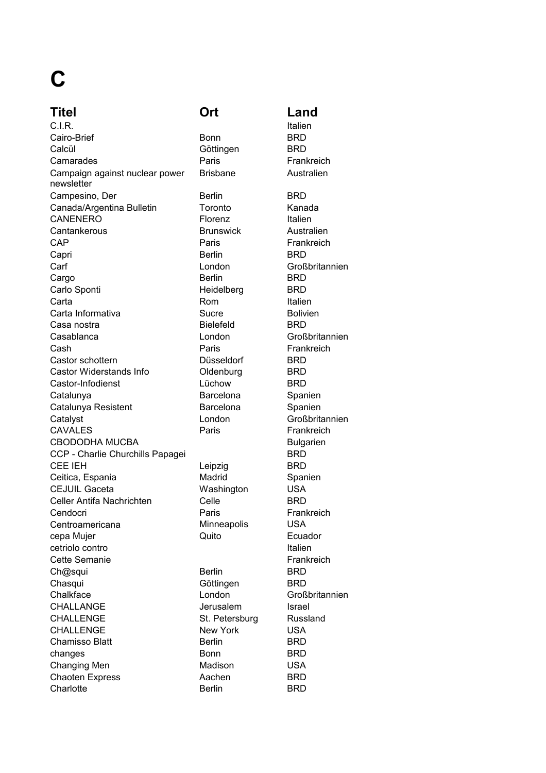## **C**

## **Titel Ort Land**

C.I.R. Italien Campesino, Der Berlin BRD CANENERO Florenz Italien CAP Paris Frankreich Capri Berlin BRD Cargo **Berlin** Berlin BRD Casablanca London Großbritannien Castor Widerstands Info **Castor Widerstands Info** Castor-Infodienst Lüchow ERD CAVALES Paris Frankreich CBODODHA MUCBA Bulgarien CCP - Charlie Churchills Papagei BRD CEE IEH Leipzig BRD Ceitica, Espania **Madrid** Madrid Spanien CEJUIL Gaceta **Washington** USA Celler Antifa Nachrichten Celle BRD Cendocri **Paris** Paris Frankreich CHALLANGE Jerusalem Israel CHALLENGE St. Petersburg Russland CHALLENGE New York USA Chaoten Express Aachen BRD Charlotte **Berlin** BRD Cairo-Brief Calcül Camarades Campaign against nuclear power newsletter Canada/Argentina Bulletin Cantankerous **Brunswick** Carf Carlo Sponti Carta Carta Informativa **Sucre** Sucre Casa nostra Cash Castor schottern Catalunya Catalunya Resistent **Catalyst** Centroamericana cepa Mujer cetriolo contro Cette Semanie Ch@squi **Chasqui Chalkface** Chamisso Blatt changes Changing Men Madison

Bonn BRD Göttingen BRD Paris **Frankreich** Brisbane Australien Toronto Kanada Heidelberg BRD Rom Italien Bielefeld BRD Paris Frankreich Düsseldorf BRD Barcelona Spanien Barcelona Spanien Minneapolis USA Quito Ecuador Berlin BRD Göttingen BRD Berlin BRD Bonn BRD Lüchow

## Australien London Großbritannien Bolivien London Großbritannien Italien Frankreich London Großbritannien USA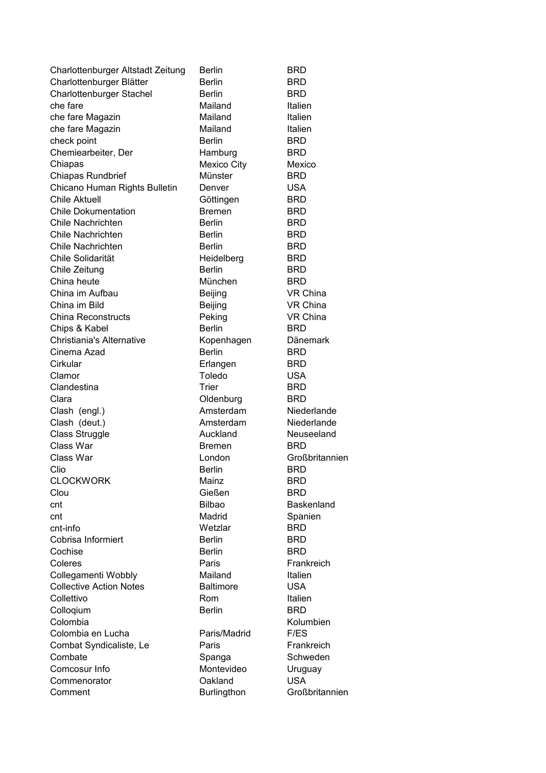| Charlottenburger Altstadt Zeitung | <b>Berlin</b>      | <b>BRD</b>               |
|-----------------------------------|--------------------|--------------------------|
| Charlottenburger Blätter          | <b>Berlin</b>      | <b>BRD</b>               |
| Charlottenburger Stachel          | <b>Berlin</b>      | <b>BRD</b>               |
| che fare                          | Mailand            | Italien                  |
| che fare Magazin                  | Mailand            | Italien                  |
| che fare Magazin                  | Mailand            | Italien                  |
| check point                       | <b>Berlin</b>      | <b>BRD</b>               |
| Chemiearbeiter, Der               | Hamburg            | <b>BRD</b>               |
| Chiapas                           | <b>Mexico City</b> | Mexico                   |
| <b>Chiapas Rundbrief</b>          | Münster            | <b>BRD</b>               |
| Chicano Human Rights Bulletin     | Denver             | <b>USA</b>               |
| <b>Chile Aktuell</b>              | Göttingen          | <b>BRD</b>               |
| <b>Chile Dokumentation</b>        | <b>Bremen</b>      | <b>BRD</b>               |
| Chile Nachrichten                 | <b>Berlin</b>      | <b>BRD</b>               |
| Chile Nachrichten                 | <b>Berlin</b>      | <b>BRD</b>               |
| Chile Nachrichten                 | <b>Berlin</b>      | <b>BRD</b>               |
| Chile Solidarität                 | Heidelberg         | <b>BRD</b>               |
| Chile Zeitung                     | <b>Berlin</b>      | <b>BRD</b>               |
| China heute                       | München            | <b>BRD</b>               |
| China im Aufbau                   | Beijing            | VR China                 |
| China im Bild                     | Beijing            | VR China                 |
| <b>China Reconstructs</b>         | Peking             | VR China                 |
| Chips & Kabel                     | <b>Berlin</b>      | <b>BRD</b>               |
| <b>Christiania's Alternative</b>  | Kopenhagen         | <b>Dänemark</b>          |
| Cinema Azad                       | <b>Berlin</b>      | <b>BRD</b>               |
| Cirkular                          | Erlangen           | <b>BRD</b>               |
|                                   | Toledo             |                          |
| Clamor<br>Clandestina             | Trier              | <b>USA</b><br><b>BRD</b> |
|                                   |                    |                          |
| Clara                             | Oldenburg          | <b>BRD</b>               |
| Clash (engl.)                     | Amsterdam          | Niederlande              |
| Clash (deut.)                     | Amsterdam          | Niederlande              |
| Class Struggle                    | Auckland           | Neuseeland               |
| Class War                         | <b>Bremen</b>      | <b>BRD</b>               |
| Class War                         | London             | Großbritannien           |
| Clio                              | <b>Berlin</b>      | BRD                      |
| <b>CLOCKWORK</b>                  | Mainz              | <b>BRD</b>               |
| Clou                              | Gießen             | <b>BRD</b>               |
| cnt                               | <b>Bilbao</b>      | Baskenland               |
| cnt                               | Madrid             | Spanien                  |
| cnt-info                          | Wetzlar            | <b>BRD</b>               |
| Cobrisa Informiert                | <b>Berlin</b>      | <b>BRD</b>               |
| Cochise                           | <b>Berlin</b>      | <b>BRD</b>               |
| Coleres                           | Paris              | Frankreich               |
| Collegamenti Wobbly               | Mailand            | Italien                  |
| <b>Collective Action Notes</b>    | <b>Baltimore</b>   | <b>USA</b>               |
| Collettivo                        | Rom                | Italien                  |
| Colloqium                         | <b>Berlin</b>      | <b>BRD</b>               |
| Colombia                          |                    | Kolumbien                |
| Colombia en Lucha                 | Paris/Madrid       | F/ES                     |
| Combat Syndicaliste, Le           | Paris              | Frankreich               |
| Combate                           | Spanga             | Schweden                 |
| Comcosur Info                     | Montevideo         | Uruguay                  |
| Commenorator                      | Oakland            | <b>USA</b>               |
| Comment                           | <b>Burlingthon</b> | Großbritannien           |
|                                   |                    |                          |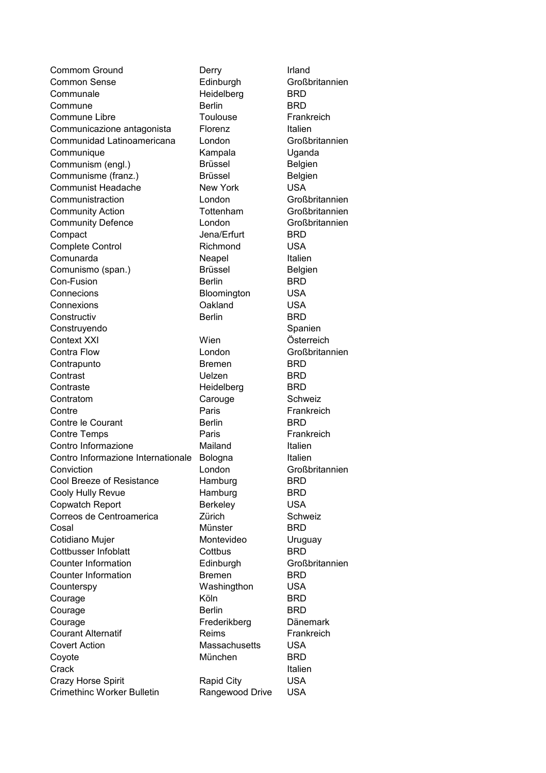Commune Berlin BRD Contra Flow London Großbritannien Contro Informazione Internationale Bologna butalien Conviction London Großbritannien Cool Breeze of Resistance Hamburg BRD Cooly Hully Revue **Hamburg** BRD Copwatch Report Berkeley USA Correos de Centroamerica <br>
Zürich Schweiz Cosal Münster BRD Cotidiano Mujer **Montevideo** Uruguay Cottbusser Infoblatt Cottbus Cottbus BRD Counter Information **Edinburgh** Großbritannien Counter Information Bremen BRD Counterspy Washingthon USA Courage **Köln** Köln BRD Courage Berlin BRD Courage Frederikberg Dänemark Courant Alternatif **Exercise Reims** Frankreich Covert Action Massachusetts USA Coyote München BRD Crack **Crack Italien** Crazy Horse Spirit **Crazy Horse Spirit** Rapid City **USA** Crimethinc Worker Bulletin Rangewood Drive USA Commom Ground Derry Common Sense **Communale** Commune Libre Communicazione antagonista Communidad Latinoamericana **Communique** Communism (engl.) Communisme (franz.) Communist Headache Communistraction Community Action Community Defence Compact Complete Control Comunarda Comunismo (span.) Con-Fusion Connecions Bloomington Connexions Oakland **Constructiv** Construyendo Context XXI **Contrapunto Contrast** Contraste Contratom Carouge Contre Contre le Courant Contre Temps Contro Informazione

Heidelberg BRD Toulouse Frankreich Florenz Italien Kampala Uganda Brüssel Belgien Brüssel Belgien New York USA Jena/Erfurt BRD Richmond USA Neapel Italien Brüssel Belgien Berlin BRD Berlin BRD Wien Österreich Bremen BRD Uelzen BRD Heidelberg BRD Paris Frankreich Berlin BRD Paris **Frankreich** Mailand Italien

Irland Edinburgh Großbritannien London Großbritannien London Großbritannien Tottenham Großbritannien London Großbritannien USA USA Spanien Schweiz